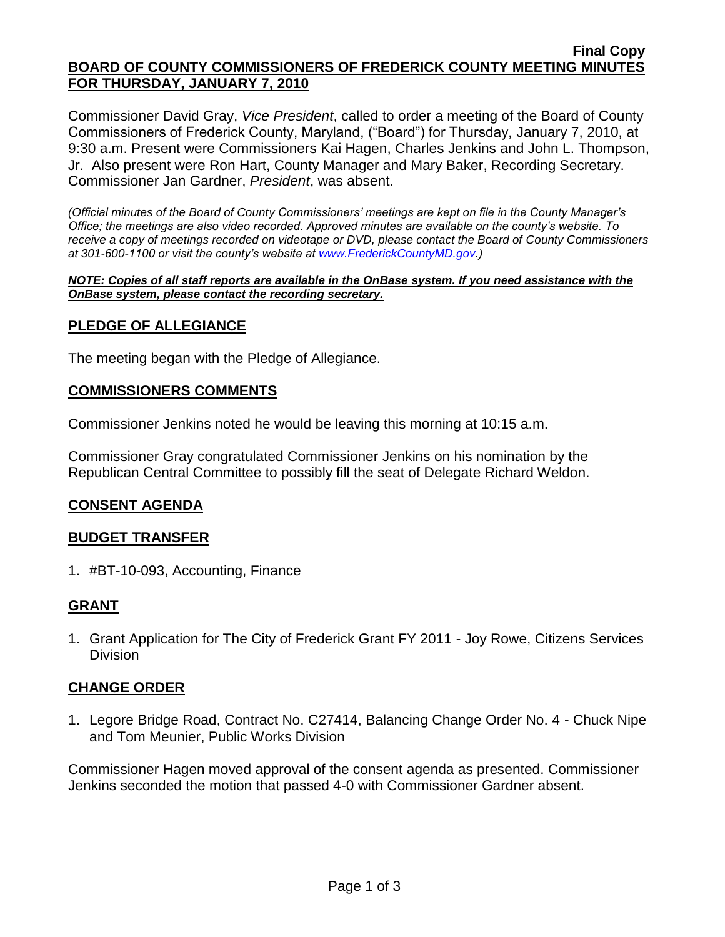#### **Final Copy BOARD OF COUNTY COMMISSIONERS OF FREDERICK COUNTY MEETING MINUTES FOR THURSDAY, JANUARY 7, 2010**

Commissioner David Gray, *Vice President*, called to order a meeting of the Board of County Commissioners of Frederick County, Maryland, ("Board") for Thursday, January 7, 2010, at 9:30 a.m. Present were Commissioners Kai Hagen, Charles Jenkins and John L. Thompson, Jr. Also present were Ron Hart, County Manager and Mary Baker, Recording Secretary. Commissioner Jan Gardner, *President*, was absent.

*(Official minutes of the Board of County Commissioners' meetings are kept on file in the County Manager's Office; the meetings are also video recorded. Approved minutes are available on the county's website. To receive a copy of meetings recorded on videotape or DVD, please contact the Board of County Commissioners at 301-600-1100 or visit the county's website at [www.FrederickCountyMD.gov.](http://www.frederickcountymd.gov/))*

*NOTE: Copies of all staff reports are available in the OnBase system. If you need assistance with the OnBase system, please contact the recording secretary.*

# **PLEDGE OF ALLEGIANCE**

The meeting began with the Pledge of Allegiance.

### **COMMISSIONERS COMMENTS**

Commissioner Jenkins noted he would be leaving this morning at 10:15 a.m.

Commissioner Gray congratulated Commissioner Jenkins on his nomination by the Republican Central Committee to possibly fill the seat of Delegate Richard Weldon.

### **CONSENT AGENDA**

### **BUDGET TRANSFER**

1. #BT-10-093, Accounting, Finance

### **GRANT**

1. Grant Application for The City of Frederick Grant FY 2011 - Joy Rowe, Citizens Services Division

### **CHANGE ORDER**

1. Legore Bridge Road, Contract No. C27414, Balancing Change Order No. 4 - Chuck Nipe and Tom Meunier, Public Works Division

Commissioner Hagen moved approval of the consent agenda as presented. Commissioner Jenkins seconded the motion that passed 4-0 with Commissioner Gardner absent.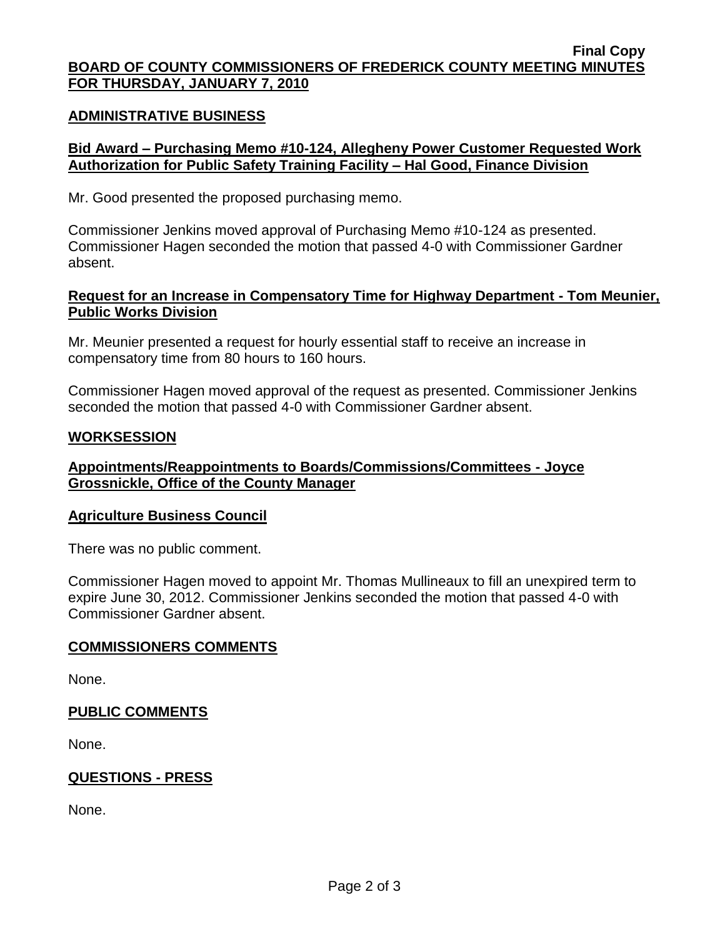#### **Final Copy BOARD OF COUNTY COMMISSIONERS OF FREDERICK COUNTY MEETING MINUTES FOR THURSDAY, JANUARY 7, 2010**

### **ADMINISTRATIVE BUSINESS**

# **Bid Award – Purchasing Memo #10-124, Allegheny Power Customer Requested Work Authorization for Public Safety Training Facility – Hal Good, Finance Division**

Mr. Good presented the proposed purchasing memo.

Commissioner Jenkins moved approval of Purchasing Memo #10-124 as presented. Commissioner Hagen seconded the motion that passed 4-0 with Commissioner Gardner absent.

### **Request for an Increase in Compensatory Time for Highway Department - Tom Meunier, Public Works Division**

Mr. Meunier presented a request for hourly essential staff to receive an increase in compensatory time from 80 hours to 160 hours.

Commissioner Hagen moved approval of the request as presented. Commissioner Jenkins seconded the motion that passed 4-0 with Commissioner Gardner absent.

### **WORKSESSION**

# **Appointments/Reappointments to Boards/Commissions/Committees - Joyce Grossnickle, Office of the County Manager**

### **Agriculture Business Council**

There was no public comment.

Commissioner Hagen moved to appoint Mr. Thomas Mullineaux to fill an unexpired term to expire June 30, 2012. Commissioner Jenkins seconded the motion that passed 4-0 with Commissioner Gardner absent.

### **COMMISSIONERS COMMENTS**

None.

# **PUBLIC COMMENTS**

None.

# **QUESTIONS - PRESS**

None.